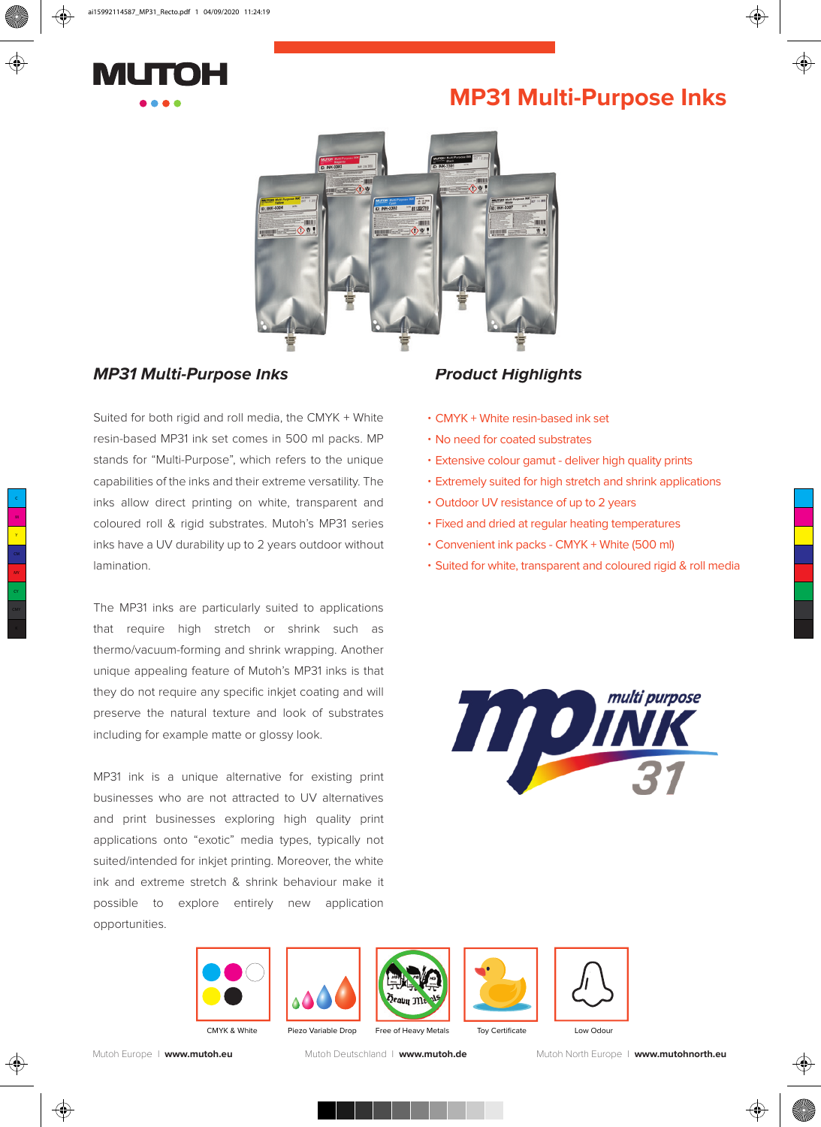

## **MP31 Multi-Purpose Inks**



### *MP31 Multi-Purpose Inks*

Suited for both rigid and roll media, the CMYK + White resin-based MP31 ink set comes in 500 ml packs. MP stands for "Multi-Purpose", which refers to the unique capabilities of the inks and their extreme versatility. The inks allow direct printing on white, transparent and coloured roll & rigid substrates. Mutoh's MP31 series inks have a UV durability up to 2 years outdoor without lamination.

The MP31 inks are particularly suited to applications that require high stretch or shrink such as thermo/vacuum-forming and shrink wrapping. Another unique appealing feature of Mutoh's MP31 inks is that they do not require any specific inkjet coating and will preserve the natural texture and look of substrates including for example matte or glossy look.

MP31 ink is a unique alternative for existing print businesses who are not attracted to UV alternatives and print businesses exploring high quality print applications onto "exotic" media types, typically not suited/intended for inkjet printing. Moreover, the white ink and extreme stretch & shrink behaviour make it possible to explore entirely new application opportunities.

### **Product Highlights**

- CMYK + White resin-based ink set •
- No need for coated substrates •
- Extensive colour gamut deliver high quality prints •
- Extremely suited for high stretch and shrink applications •
- Outdoor UV resistance of up to 2 years
- Fixed and dried at regular heating temperatures
- Convenient ink packs CMYK + White (500 ml) •
- Suited for white, transparent and coloured rigid & roll media •













Mutoh Europe I **www.mutoh.eu** Mutoh Deutschland I **www.mutoh.de** Mutoh North Europe I **www.mutohnorth.eu**